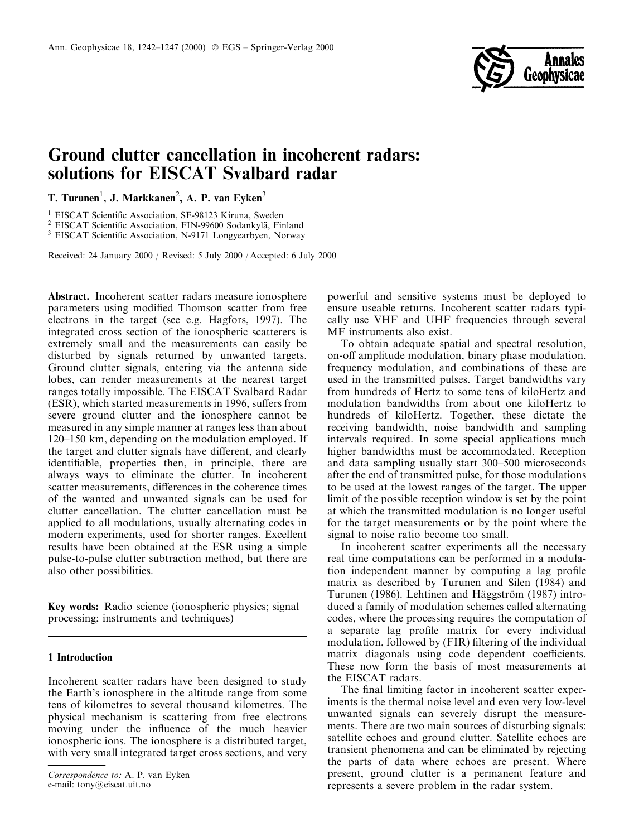

# Ground clutter cancellation in incoherent radars: solutions for EISCAT Svalbard radar

T. Turunen<sup>1</sup>, J. Markkanen<sup>2</sup>, A. P. van Eyken<sup>3</sup>

<sup>1</sup> EISCAT Scientific Association, SE-98123 Kiruna, Sweden

<sup>2</sup> EISCAT Scientific Association, FIN-99600 Sodankylä, Finland

<sup>3</sup> EISCAT Scientific Association, N-9171 Longyearbyen, Norway

Received: 24 January 2000 / Revised: 5 July 2000 / Accepted: 6 July 2000

Abstract. Incoherent scatter radars measure ionosphere parameters using modified Thomson scatter from free electrons in the target (see e.g. Hagfors, 1997). The integrated cross section of the ionospheric scatterers is extremely small and the measurements can easily be disturbed by signals returned by unwanted targets. Ground clutter signals, entering via the antenna side lobes, can render measurements at the nearest target ranges totally impossible. The EISCAT Svalbard Radar (ESR), which started measurements in 1996, suffers from severe ground clutter and the ionosphere cannot be measured in any simple manner at ranges less than about 120–150 km, depending on the modulation employed. If the target and clutter signals have different, and clearly identifiable, properties then, in principle, there are always ways to eliminate the clutter. In incoherent scatter measurements, differences in the coherence times of the wanted and unwanted signals can be used for clutter cancellation. The clutter cancellation must be applied to all modulations, usually alternating codes in modern experiments, used for shorter ranges. Excellent results have been obtained at the ESR using a simple pulse-to-pulse clutter subtraction method, but there are also other possibilities.

Key words: Radio science (ionospheric physics; signal processing; instruments and techniques)

# 1 Introduction

Incoherent scatter radars have been designed to study the Earth's ionosphere in the altitude range from some tens of kilometres to several thousand kilometres. The physical mechanism is scattering from free electrons moving under the influence of the much heavier ionospheric ions. The ionosphere is a distributed target, with very small integrated target cross sections, and very

powerful and sensitive systems must be deployed to ensure useable returns. Incoherent scatter radars typically use VHF and UHF frequencies through several MF instruments also exist.

To obtain adequate spatial and spectral resolution, on-off amplitude modulation, binary phase modulation, frequency modulation, and combinations of these are used in the transmitted pulses. Target bandwidths vary from hundreds of Hertz to some tens of kiloHertz and modulation bandwidths from about one kiloHertz to hundreds of kiloHertz. Together, these dictate the receiving bandwidth, noise bandwidth and sampling intervals required. In some special applications much higher bandwidths must be accommodated. Reception and data sampling usually start 300-500 microseconds after the end of transmitted pulse, for those modulations to be used at the lowest ranges of the target. The upper limit of the possible reception window is set by the point at which the transmitted modulation is no longer useful for the target measurements or by the point where the signal to noise ratio become too small.

In incoherent scatter experiments all the necessary real time computations can be performed in a modulation independent manner by computing a lag profile matrix as described by Turunen and Silen (1984) and Turunen (1986). Lehtinen and Häggström (1987) introduced a family of modulation schemes called alternating codes, where the processing requires the computation of a separate lag profile matrix for every individual modulation, followed by (FIR) filtering of the individual matrix diagonals using code dependent coefficients. These now form the basis of most measurements at the EISCAT radars.

The final limiting factor in incoherent scatter experiments is the thermal noise level and even very low-level unwanted signals can severely disrupt the measurements. There are two main sources of disturbing signals: satellite echoes and ground clutter. Satellite echoes are transient phenomena and can be eliminated by rejecting the parts of data where echoes are present. Where present, ground clutter is a permanent feature and represents a severe problem in the radar system.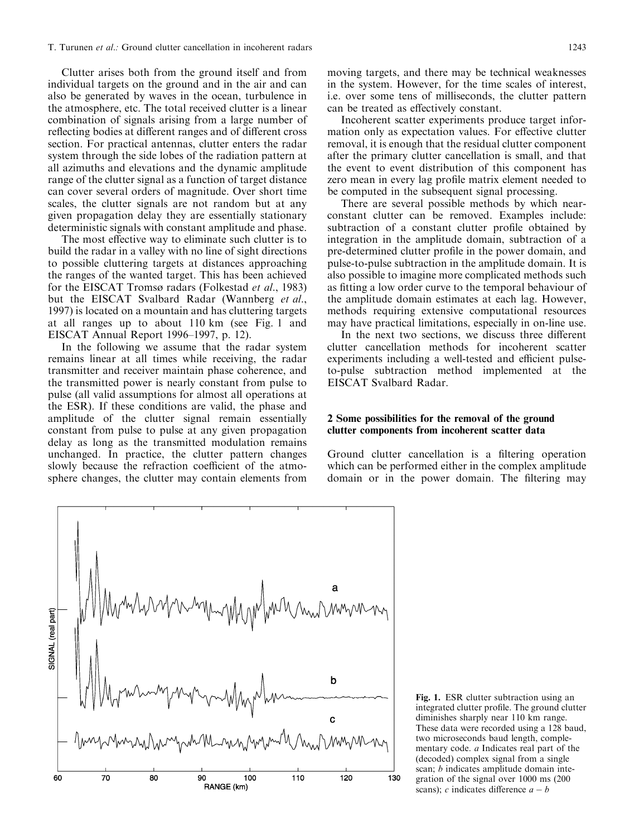Clutter arises both from the ground itself and from individual targets on the ground and in the air and can also be generated by waves in the ocean, turbulence in the atmosphere, etc. The total received clutter is a linear combination of signals arising from a large number of reflecting bodies at different ranges and of different cross section. For practical antennas, clutter enters the radar system through the side lobes of the radiation pattern at all azimuths and elevations and the dynamic amplitude range of the clutter signal as a function of target distance can cover several orders of magnitude. Over short time scales, the clutter signals are not random but at any given propagation delay they are essentially stationary deterministic signals with constant amplitude and phase.

The most effective way to eliminate such clutter is to build the radar in a valley with no line of sight directions to possible cluttering targets at distances approaching the ranges of the wanted target. This has been achieved for the EISCAT Tromsø radars (Folkestad et al., 1983) but the EISCAT Svalbard Radar (Wannberg et al., 1997) is located on a mountain and has cluttering targets at all ranges up to about 110 km (see Fig. 1 and EISCAT Annual Report 1996-1997, p. 12).

In the following we assume that the radar system remains linear at all times while receiving, the radar transmitter and receiver maintain phase coherence, and the transmitted power is nearly constant from pulse to pulse (all valid assumptions for almost all operations at the ESR). If these conditions are valid, the phase and amplitude of the clutter signal remain essentially constant from pulse to pulse at any given propagation delay as long as the transmitted modulation remains unchanged. In practice, the clutter pattern changes slowly because the refraction coefficient of the atmosphere changes, the clutter may contain elements from

moving targets, and there may be technical weaknesses in the system. However, for the time scales of interest, i.e. over some tens of milliseconds, the clutter pattern can be treated as effectively constant.

Incoherent scatter experiments produce target information only as expectation values. For effective clutter removal, it is enough that the residual clutter component after the primary clutter cancellation is small, and that the event to event distribution of this component has zero mean in every lag profile matrix element needed to be computed in the subsequent signal processing.

There are several possible methods by which nearconstant clutter can be removed. Examples include: subtraction of a constant clutter profile obtained by integration in the amplitude domain, subtraction of a pre-determined clutter profile in the power domain, and pulse-to-pulse subtraction in the amplitude domain. It is also possible to imagine more complicated methods such as fitting a low order curve to the temporal behaviour of the amplitude domain estimates at each lag. However, methods requiring extensive computational resources may have practical limitations, especially in on-line use.

In the next two sections, we discuss three different clutter cancellation methods for incoherent scatter experiments including a well-tested and efficient pulseto-pulse subtraction method implemented at the EISCAT Svalbard Radar.

# 2 Some possibilities for the removal of the ground clutter components from incoherent scatter data

Ground clutter cancellation is a filtering operation which can be performed either in the complex amplitude domain or in the power domain. The filtering may



Fig. 1. ESR clutter subtraction using an integrated clutter profile. The ground clutter diminishes sharply near 110 km range. These data were recorded using a 128 baud, two microseconds baud length, complementary code. a Indicates real part of the (decoded) complex signal from a single scan; *b* indicates amplitude domain integration of the signal over 1000 ms (200 scans); c indicates difference  $a - b$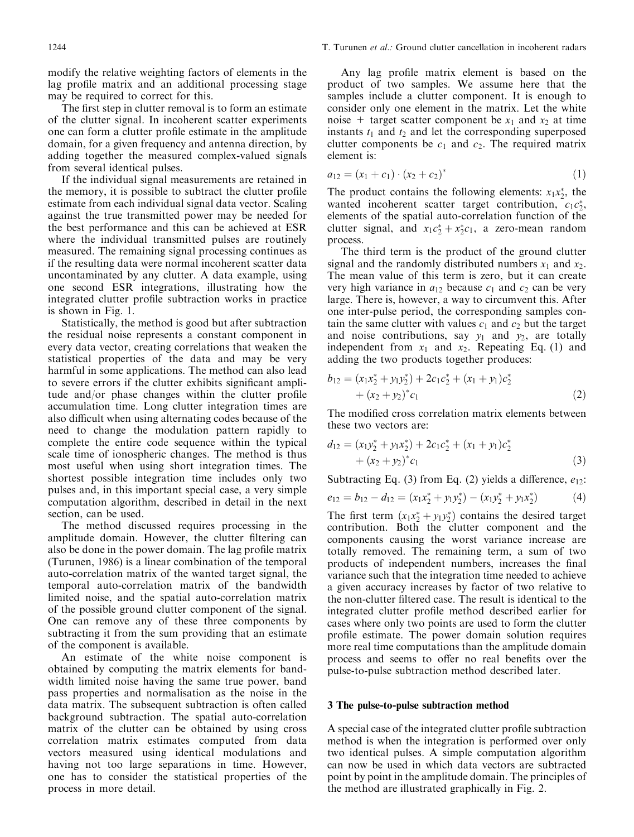modify the relative weighting factors of elements in the lag profile matrix and an additional processing stage may be required to correct for this.

The first step in clutter removal is to form an estimate of the clutter signal. In incoherent scatter experiments one can form a clutter profile estimate in the amplitude domain, for a given frequency and antenna direction, by adding together the measured complex-valued signals from several identical pulses.

If the individual signal measurements are retained in the memory, it is possible to subtract the clutter profile estimate from each individual signal data vector. Scaling against the true transmitted power may be needed for the best performance and this can be achieved at ESR where the individual transmitted pulses are routinely measured. The remaining signal processing continues as if the resulting data were normal incoherent scatter data uncontaminated by any clutter. A data example, using one second ESR integrations, illustrating how the integrated clutter profile subtraction works in practice is shown in Fig. 1.

Statistically, the method is good but after subtraction the residual noise represents a constant component in every data vector, creating correlations that weaken the statistical properties of the data and may be very harmful in some applications. The method can also lead to severe errors if the clutter exhibits significant amplitude and/or phase changes within the clutter profile accumulation time. Long clutter integration times are also difficult when using alternating codes because of the need to change the modulation pattern rapidly to complete the entire code sequence within the typical scale time of ionospheric changes. The method is thus most useful when using short integration times. The shortest possible integration time includes only two pulses and, in this important special case, a very simple computation algorithm, described in detail in the next section, can be used.

The method discussed requires processing in the amplitude domain. However, the clutter filtering can also be done in the power domain. The lag profile matrix (Turunen, 1986) is a linear combination of the temporal auto-correlation matrix of the wanted target signal, the temporal auto-correlation matrix of the bandwidth limited noise, and the spatial auto-correlation matrix of the possible ground clutter component of the signal. One can remove any of these three components by subtracting it from the sum providing that an estimate of the component is available.

An estimate of the white noise component is obtained by computing the matrix elements for bandwidth limited noise having the same true power, band pass properties and normalisation as the noise in the data matrix. The subsequent subtraction is often called background subtraction. The spatial auto-correlation matrix of the clutter can be obtained by using cross correlation matrix estimates computed from data vectors measured using identical modulations and having not too large separations in time. However, one has to consider the statistical properties of the process in more detail.

Any lag profile matrix element is based on the product of two samples. We assume here that the samples include a clutter component. It is enough to consider only one element in the matrix. Let the white noise + target scatter component be  $x_1$  and  $x_2$  at time instants  $t_1$  and  $t_2$  and let the corresponding superposed clutter components be  $c_1$  and  $c_2$ . The required matrix element is:

$$
a_{12} = (x_1 + c_1) \cdot (x_2 + c_2)^* \tag{1}
$$

The product contains the following elements:  $x_1x_2^*$ , the wanted incoherent scatter target contribution,  $c_1c_2^*$ , elements of the spatial auto-correlation function of the clutter signal, and  $x_1c_2^* + x_2^*c_1$ , a zero-mean random process.

The third term is the product of the ground clutter signal and the randomly distributed numbers  $x_1$  and  $x_2$ . The mean value of this term is zero, but it can create very high variance in  $a_{12}$  because  $c_1$  and  $c_2$  can be very large. There is, however, a way to circumvent this. After one inter-pulse period, the corresponding samples contain the same clutter with values  $c_1$  and  $c_2$  but the target and noise contributions, say  $y_1$  and  $y_2$ , are totally independent from  $x_1$  and  $x_2$ . Repeating Eq. (1) and adding the two products together produces:

$$
b_{12} = (x_1x_2^* + y_1y_2^*) + 2c_1c_2^* + (x_1 + y_1)c_2^*
$$
  
+ 
$$
(x_2 + y_2)^*c_1
$$
 (2)

The modified cross correlation matrix elements between these two vectors are:

$$
d_{12} = (x_1y_2^* + y_1x_2^*) + 2c_1c_2^* + (x_1 + y_1)c_2^*
$$
  
+ 
$$
(x_2 + y_2)^*c_1
$$
 (3)

Subtracting Eq. (3) from Eq. (2) yields a difference,  $e_{12}$ :

$$
e_{12} = b_{12} - d_{12} = (x_1 x_2^* + y_1 y_2^*) - (x_1 y_2^* + y_1 x_2^*)
$$
(4)

The first term  $(x_1x_2^* + y_1y_2^*)$  contains the desired target contribution. Both the clutter component and the components causing the worst variance increase are totally removed. The remaining term, a sum of two products of independent numbers, increases the final variance such that the integration time needed to achieve a given accuracy increases by factor of two relative to the non-clutter filtered case. The result is identical to the integrated clutter profile method described earlier for cases where only two points are used to form the clutter profile estimate. The power domain solution requires more real time computations than the amplitude domain process and seems to offer no real benefits over the pulse-to-pulse subtraction method described later.

#### 3 The pulse-to-pulse subtraction method

A special case of the integrated clutter profile subtraction method is when the integration is performed over only two identical pulses. A simple computation algorithm can now be used in which data vectors are subtracted point by point in the amplitude domain. The principles of the method are illustrated graphically in Fig. 2.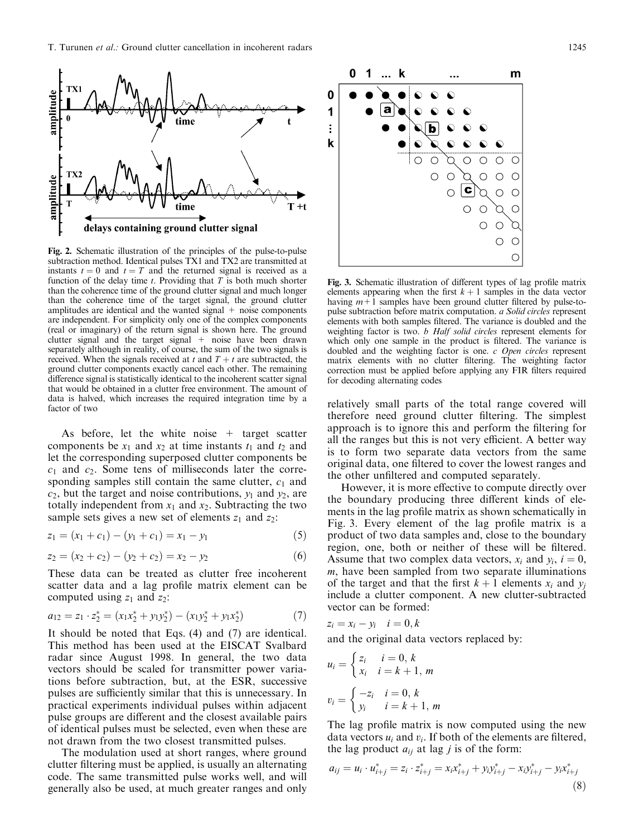

Fig. 2. Schematic illustration of the principles of the pulse-to-pulse subtraction method. Identical pulses TX1 and TX2 are transmitted at instants  $t = 0$  and  $t = T$  and the returned signal is received as a function of the delay time  $t$ . Providing that  $T$  is both much shorter than the coherence time of the ground clutter signal and much longer than the coherence time of the target signal, the ground clutter amplitudes are identical and the wanted signal  $+$  noise components are independent. For simplicity only one of the complex components (real or imaginary) of the return signal is shown here. The ground clutter signal and the target signal  $+$  noise have been drawn separately although in reality, of course, the sum of the two signals is received. When the signals received at t and  $T + t$  are subtracted, the ground clutter components exactly cancel each other. The remaining difference signal is statistically identical to the incoherent scatter signal that would be obtained in a clutter free environment. The amount of data is halved, which increases the required integration time by a factor of two

As before, let the white noise  $+$  target scatter components be  $x_1$  and  $x_2$  at time instants  $t_1$  and  $t_2$  and let the corresponding superposed clutter components be  $c_1$  and  $c_2$ . Some tens of milliseconds later the corresponding samples still contain the same clutter,  $c_1$  and  $c_2$ , but the target and noise contributions,  $y_1$  and  $y_2$ , are totally independent from  $x_1$  and  $x_2$ . Subtracting the two sample sets gives a new set of elements  $z_1$  and  $z_2$ :

$$
z_1 = (x_1 + c_1) - (y_1 + c_1) = x_1 - y_1 \tag{5}
$$

$$
z_2 = (x_2 + c_2) - (y_2 + c_2) = x_2 - y_2 \tag{6}
$$

These data can be treated as clutter free incoherent scatter data and a lag profile matrix element can be computed using  $z_1$  and  $z_2$ :

$$
a_{12} = z_1 \cdot z_2^* = (x_1 x_2^* + y_1 y_2^*) - (x_1 y_2^* + y_1 x_2^*)
$$
\n<sup>(7)</sup>

It should be noted that Eqs.  $(4)$  and  $(7)$  are identical. This method has been used at the EISCAT Svalbard radar since August 1998. In general, the two data vectors should be scaled for transmitter power variations before subtraction, but, at the ESR, successive pulses are sufficiently similar that this is unnecessary. In practical experiments individual pulses within adjacent pulse groups are different and the closest available pairs of identical pulses must be selected, even when these are not drawn from the two closest transmitted pulses.

The modulation used at short ranges, where ground clutter filtering must be applied, is usually an alternating code. The same transmitted pulse works well, and will generally also be used, at much greater ranges and only



Fig. 3. Schematic illustration of different types of lag profile matrix elements appearing when the first  $k+1$  samples in the data vector having  $m+1$  samples have been ground clutter filtered by pulse-topulse subtraction before matrix computation. a Solid circles represent elements with both samples filtered. The variance is doubled and the weighting factor is two. *b Half solid circles* represent elements for which only one sample in the product is filtered. The variance is doubled and the weighting factor is one. c Open circles represent matrix elements with no clutter filtering. The weighting factor correction must be applied before applying any FIR filters required for decoding alternating codes

relatively small parts of the total range covered will therefore need ground clutter filtering. The simplest approach is to ignore this and perform the filtering for all the ranges but this is not very efficient. A better way is to form two separate data vectors from the same original data, one filtered to cover the lowest ranges and the other unfiltered and computed separately.

However, it is more effective to compute directly over the boundary producing three different kinds of elements in the lag profile matrix as shown schematically in Fig. 3. Every element of the lag profile matrix is a product of two data samples and, close to the boundary region, one, both or neither of these will be filtered. Assume that two complex data vectors,  $x_i$  and  $y_i$ ,  $i = 0$ ,  $m$ , have been sampled from two separate illuminations of the target and that the first  $k + 1$  elements  $x_i$  and  $y_i$ include a clutter component. A new clutter-subtracted vector can be formed:

$$
z_i = x_i - y_i
$$
  $i = 0, k$   
and the original data vectors replaced by:

$$
u_i = \begin{cases} z_i & i = 0, k \\ x_i & i = k + 1, m \end{cases}
$$
  

$$
v_i = \begin{cases} -z_i & i = 0, k \\ y_i & i = k + 1, m \end{cases}
$$

The lag profile matrix is now computed using the new data vectors  $u_i$  and  $v_i$ . If both of the elements are filtered, the lag product  $a_{ij}$  at lag *j* is of the form:

$$
a_{ij} = u_i \cdot u_{i+j}^* = z_i \cdot z_{i+j}^* = x_i x_{i+j}^* + y_i y_{i+j}^* - x_i y_{i+j}^* - y_i x_{i+j}^*
$$
\n(8)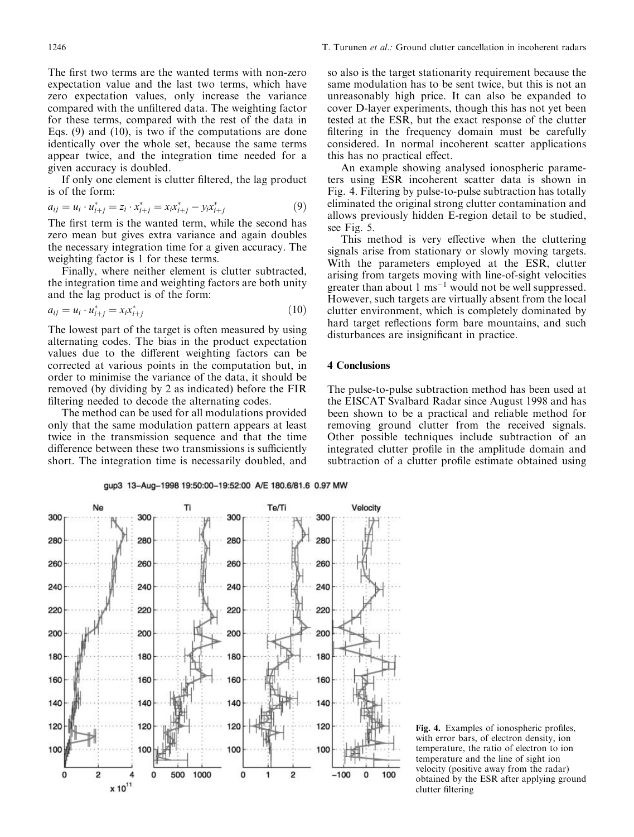The first two terms are the wanted terms with non-zero expectation value and the last two terms, which have zero expectation values, only increase the variance compared with the unfiltered data. The weighting factor for these terms, compared with the rest of the data in Eqs.  $(9)$  and  $(10)$ , is two if the computations are done identically over the whole set, because the same terms appear twice, and the integration time needed for a given accuracy is doubled.

If only one element is clutter filtered, the lag product is of the form:

$$
a_{ij} = u_i \cdot u_{i+j}^* = z_i \cdot x_{i+j}^* = x_i x_{i+j}^* - y_i x_{i+j}^* \tag{9}
$$

The first term is the wanted term, while the second has zero mean but gives extra variance and again doubles the necessary integration time for a given accuracy. The weighting factor is 1 for these terms.

Finally, where neither element is clutter subtracted, the integration time and weighting factors are both unity and the lag product is of the form:

$$
a_{ij} = u_i \cdot u_{i+j}^* = x_i x_{i+j}^* \tag{10}
$$

The lowest part of the target is often measured by using alternating codes. The bias in the product expectation values due to the different weighting factors can be corrected at various points in the computation but, in order to minimise the variance of the data, it should be removed (by dividing by 2 as indicated) before the FIR filtering needed to decode the alternating codes.

The method can be used for all modulations provided only that the same modulation pattern appears at least twice in the transmission sequence and that the time difference between these two transmissions is sufficiently short. The integration time is necessarily doubled, and so also is the target stationarity requirement because the same modulation has to be sent twice, but this is not an unreasonably high price. It can also be expanded to cover D-layer experiments, though this has not yet been tested at the ESR, but the exact response of the clutter filtering in the frequency domain must be carefully considered. In normal incoherent scatter applications this has no practical effect.

An example showing analysed ionospheric parameters using ESR incoherent scatter data is shown in Fig. 4. Filtering by pulse-to-pulse subtraction has totally eliminated the original strong clutter contamination and allows previously hidden E-region detail to be studied, see Fig. 5.

This method is very effective when the cluttering signals arise from stationary or slowly moving targets. With the parameters employed at the ESR, clutter arising from targets moving with line-of-sight velocities greater than about 1  $\text{ms}^{-1}$  would not be well suppressed. However, such targets are virtually absent from the local clutter environment, which is completely dominated by hard target reflections form bare mountains, and such disturbances are insignificant in practice.

# **4 Conclusions**

The pulse-to-pulse subtraction method has been used at the EISCAT Svalbard Radar since August 1998 and has been shown to be a practical and reliable method for removing ground clutter from the received signals. Other possible techniques include subtraction of an integrated clutter profile in the amplitude domain and subtraction of a clutter profile estimate obtained using

gup3 13-Aug-1998 19:50:00-19:52:00 A/E 180.6/81.6 0.97 MW



Fig. 4. Examples of ionospheric profiles, with error bars, of electron density, ion temperature, the ratio of electron to ion temperature and the line of sight ion velocity (positive away from the radar) obtained by the ESR after applying ground clutter filtering